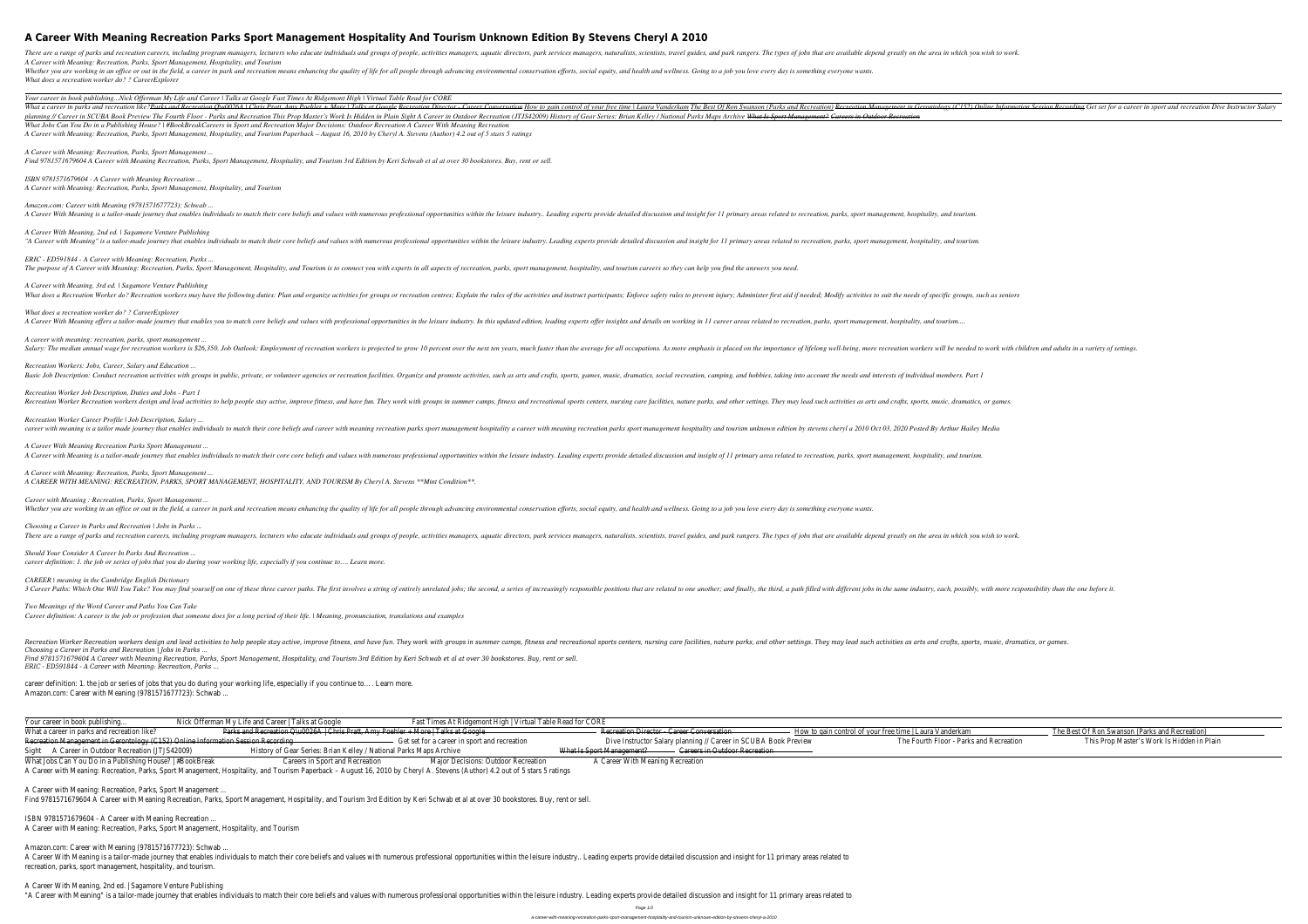## **A Career With Meaning Recreation Parks Sport Management Hospitality And Tourism Unknown Edition By Stevens Cheryl A 2010**

There are a range of parks and recreation careers, including program managers, lecturers who educate individuals and groups of people, activities managers, aquatic directors, park services managers, naturalists, scientists *A Career with Meaning: Recreation, Parks, Sport Management, Hospitality, and Tourism* Whether you are working in an office or out in the field, a career in park and recreation means enhancing the quality of life for all people through advancing environmental conservation efforts, social equity, and health a *What does a recreation worker do? ? CareerExplorer* 

*Your career in book publishing...Nick Offerman My Life and Career | Talks at Google Fast Times At Ridgemont High | Virtual Table Read for CORE*

What a career in parks and recreation like?<del>Parks and Recreation Q\u0026A | Chris Pratt, Amy Poehler + More | Talks at Google Recreation Director - Career Conversation Beast Of Ron Swanson (Parks and Recreation Director - </del> planning // Career in SCUBA Book Preview The Fourth Floor - Parks and Recreation This Prop Master's Work Is Hidden in Plain Sight A Career in Outdoor Recreation (JTJS42009) History of Gear Series: Brian Kelley / National P *What Jobs Can You Do in a Publishing House? | #BookBreakCareers in Sport and Recreation Major Decisions: Outdoor Recreation A Career With Meaning Recreation A Career with Meaning: Recreation, Parks, Sport Management, Hospitality, and Tourism Paperback – August 16, 2010 by Cheryl A. Stevens (Author) 4.2 out of 5 stars 5 ratings*

*A Career With Meaning, 2nd ed. | Sagamore Venture Publishing* "A Career with Meaning" is a tailor-made journey that enables individuals to match their core beliefs and values with numerous professional opportunities within the leisure industry. Leading experts provide detailed discus

*ERIC - ED591844 - A Career with Meaning: Recreation, Parks ...* The purpose of A Career with Meaning: Recreation, Parks, Sport Management, Hospitality, and Tourism is to connect you with experts in all aspects of recreation, parks, sport management, hospitality, and tourism careers so

*A Career with Meaning, 3rd ed. | Sagamore Venture Publishing* What does a Recreation Worker do? Recreation workers may have the following duties: Plan and organize activities for groups or recreation centres; Explain the rules of the activities and instruct participants; Enforce safe

*What does a recreation worker do? ? CareerExplorer* A Career With Meaning offers a tailor-made journey that enables you to match core beliefs and values with professional opportunities in the leisure industry. In this updated edition, leading experts offer insights and deta

*A Career with Meaning: Recreation, Parks, Sport Management ...*

*A career with meaning: recreation, parks, sport management ...* Salary: The median annual wage for recreation workers is \$26,350. Job Outlook: Employment of recreation workers is projected to grow 10 percent over the next ten years, much faster than the average for all occupations. As

*Find 9781571679604 A Career with Meaning Recreation, Parks, Sport Management, Hospitality, and Tourism 3rd Edition by Keri Schwab et al at over 30 bookstores. Buy, rent or sell.*

*ISBN 9781571679604 - A Career with Meaning Recreation ... A Career with Meaning: Recreation, Parks, Sport Management, Hospitality, and Tourism*

*Recreation Workers: Jobs, Career, Salary and Education ...* Basic Job Description: Conduct recreation activities with groups in public, private, or volunteer agencies or recreation facilities. Organize and promote activities, such as arts and crafts, sports, games, music, dramatics

*Amazon.com: Career with Meaning (9781571677723): Schwab ...*

*Recreation Worker Job Description, Duties and Jobs - Part 1* Recreation Worker Recreation workers design and lead activities to help people stay active, improve fitness, and have fun. They work with groups in summer camps, fitness and recreational sports centers, nursing care facili

career with meaning is a tailor made journey that enables individuals to match their core beliefs and career with meaning recreation parks sport management hospitality and tourism unknown edition by stevens cheryl a 2010 O *A Career With Meaning Recreation Parks Sport Management ...*

A Career with Meaning is a tailor-made journey that enables individuals to match their core core beliefs and values with numerous professional opportunities within the leisure industry. Leading experts provide detailed dis

*Career with Meaning : Recreation, Parks, Sport Management ...* Whether you are working in an office or out in the field, a career in park and recreation means enhancing the quality of life for all people through advancing environmental conservation efforts, social equity, and health a

Recreation Worker Recreation workers design and lead activities to help people stay active, improve fitness, and have fun. They work with groups in summer camps, fitness and recreational sports centers, nursing care facili *Choosing a Career in Parks and Recreation | Jobs in Parks ... Find 9781571679604 A Career with Meaning Recreation, Parks, Sport Management, Hospitality, and Tourism 3rd Edition by Keri Schwab et al at over 30 bookstores. Buy, rent or sell. ERIC - ED591844 - A Career with Meaning: Recreation, Parks ...* 

Your career in book publishing... The Nick Offerman My Life and Career | Talks at Google Fast Times At Ridgemont High | Virtual Table Read for CORE What a career in parks and recreation like? Parks and Recreation Q\uOO26A | Chris Pratt, Amy Poehler + More | Talks at Google How to gain control of your free time | Laura Vanderkam The Best Of Ron Swanson (Parks and Recre Recreation Management in Gerontology (C152) Online Information Session Recording Get set for a career in sport and recreation Dive Instructor Salary planning // Career in SCUBA Book Preview The Fourth Floor - Parks and Recreation This Prop Master's Work Is Hidden in Plain Sight A Career in Outdoor Recreation (JTJS42009) History of Gear Series: Brian Kelley / National Parks Maps Archive What Is Sport Management? Careers in Outdoor Recreation What Jobs Can You Do in a Publishing House? | #BookBreak Careers in Sport and Recreation Major Decisions: Outdoor Recreation A Career With Meaning Recreation A Career with Meaning: Recreation, Parks, Sport Management, Hospitality, and Tourism Paperback – August 16, 2010 by Cheryl A. Stevens (Author) 4.2 out of 5 stars 5 ratings

A Career With Meaning, 2nd ed. | Sagamore Venture Publishing "A Career with Meaning" is a tailor-made journey that enables individuals to match their core beliefs and values with numerous professional opportunities with numerous provide detailed discussion and insight for 11 primary

A Career With Meaning is a tailor-made journey that enables individuals to match their core beliefs and values with numerous professional opportunities within the leisure industry.. Leading experts provide detailed discuss

*Recreation Worker Career Profile | Job Description, Salary ...*

*A Career with Meaning: Recreation, Parks, Sport Management ... A CAREER WITH MEANING: RECREATION, PARKS, SPORT MANAGEMENT, HOSPITALITY, AND TOURISM By Cheryl A. Stevens \*\*Mint Condition\*\*.*

*Choosing a Career in Parks and Recreation | Jobs in Parks ...*

There are a range of parks and recreation careers, including program managers, lecturers who educate individuals and groups of people, activities managers, aquatic directors, park services managers, naturalists, scientists

*Should Your Consider A Career In Parks And Recreation ... career definition: 1. the job or series of jobs that you do during your working life, especially if you continue to…. Learn more.*

*CAREER | meaning in the Cambridge English Dictionary*

3 Career Paths: Which One Will You Take? You may find yourself on one of these three career paths. The first involves a string of entirely unrelated jobs; the second, a series of increasingly responsible positions that are

*Two Meanings of the Word Career and Paths You Can Take*

*Career definition: A career is the job or profession that someone does for a long period of their life. | Meaning, pronunciation, translations and examples*

career definition: 1. the job or series of jobs that you do during your working life, especially if you continue to…. Learn more. Amazon.com: Career with Meaning (9781571677723): Schwab ...

A Career with Meaning: Recreation, Parks, Sport Management ... Find 9781571679604 A Career with Meaning Recreation, Parks, Sport Management, Hospitality, and Tourism 3rd Edition by Keri Schwab et al at over 30 bookstores. Buy, rent or sell.

ISBN 9781571679604 - A Career with Meaning Recreation ... A Career with Meaning: Recreation, Parks, Sport Management, Hospitality, and Tourism

Amazon.com: Career with Meaning (9781571677723): Schwab ... A Career With Meaning is a tailor-made journey that enables individuals to match their core beliefs and values with numerous professional opportunities within the leisure industry.. Leading experts provide detailed discuss recreation, parks, sport management, hospitality, and tourism.

Page 1/3

a-career-with-meaning-recreation-parks-sport-management-hospitality-and-tourism-unknown-edition-by-stevens-cheryl-a-2010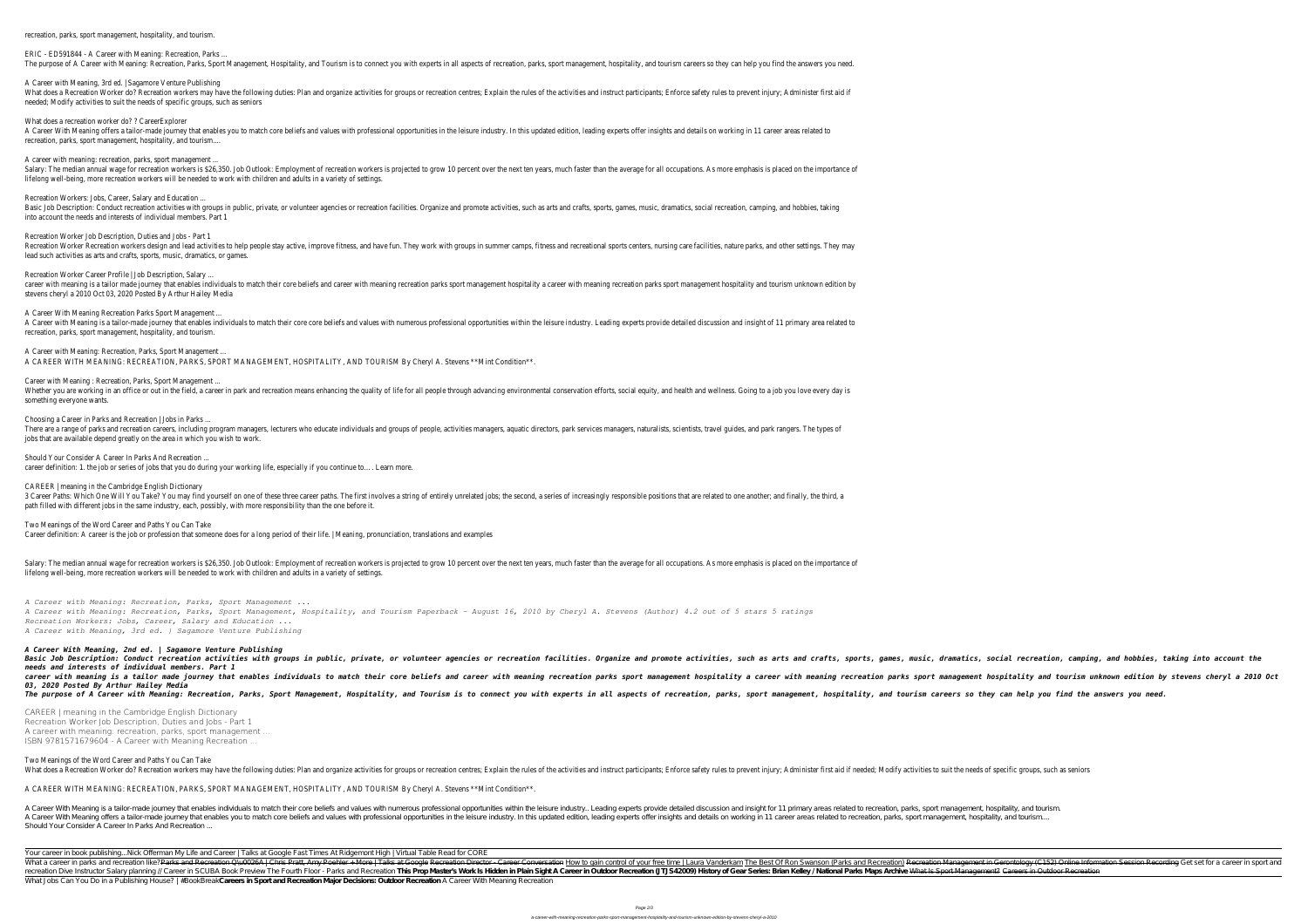ERIC - ED591844 - A Career with Meaning: Recreation, Parks ...

The purpose of A Career with Meaning: Recreation, Parks, Sport Management, Hospitality, and Tourism is to connect you with experts in all aspects of recreation, parks, sport management, hospitality, and tourism careers so A Career with Meaning, 3rd ed. | Sagamore Venture Publishing What does a Recreation Worker do? Recreation workers may have the following duties: Plan and organize activities for groups or recreation centres; Explain the rules of the activities and instruct participants; Enforce safe needed; Modify activities to suit the needs of specific groups, such as seniors What does a recreation worker do? ? CareerExplorer A Career With Meaning offers a tailor-made journey that enables you to match core beliefs and values with professional opportunities in the leisure industry. In this updated edition, leading experts offer insights and deta recreation, parks, sport management, hospitality, and tourism.... A career with meaning: recreation, parks, sport management ... Salary: The median annual wage for recreation workers is \$26,350. Job Outlook: Employment of recreation workers is projected to grow 10 percent over the next ten years, much faster than the average for all occupations. As lifelong well-being, more recreation workers will be needed to work with children and adults in a variety of settings. Recreation Workers: Jobs, Career, Salary and Education ... Basic Job Description: Conduct recreation activities with groups in public, private, or volunteer agencies or recreation facilities. Organize and promote activities, such as arts and crafts, sports, games, music, dramatics into account the needs and interests of individual members. Part 1 Recreation Worker Job Description, Duties and Jobs - Part 1 Recreation Worker Recreation workers design and lead activities to help people stay active, improve fitness, and have fun. They work with groups in summer camps, fitness and recreational sports centers, nursing care facili lead such activities as arts and crafts, sports, music, dramatics, or games. Recreation Worker Career Profile | Job Description, Salary ... career with meaning is a tailor made journey that enables individuals to match their core beliefs and career with meaning recreation parks sport management hospitality a and tourism unknown edition by stevens cheryl a 2010 Oct 03, 2020 Posted By Arthur Hailey Media A Career With Meaning Recreation Parks Sport Management ... A Career with Meaning is a tailor-made journey that enables individuals to match their core core beliefs and values with numerous professional opportunities within the leisure industry. Leading experts provide detailed dis recreation, parks, sport management, hospitality, and tourism. A Career with Meaning: Recreation, Parks, Sport Management ...

Whether you are working in an office or out in the field, a career in park and recreation means enhancing the quality of life for all people through advancing environmental conservation efforts, social equity, and health a something everyone wants. Choosing a Career in Parks and Recreation | Jobs in Parks ... There are a range of parks and recreation careers, including program managers, lecturers who educate individuals and groups of people, activities managers, aquatic directors, park services managers, naturalists, scientists jobs that are available depend greatly on the area in which you wish to work. Should Your Consider A Career In Parks And Recreation ... career definition: 1. the job or series of jobs that you do during your working life, especially if you continue to…. Learn more.

Salary: The median annual wage for recreation workers is \$26,350. Job Outlook: Employment of recreation workers is projected to grow 10 percent over the next ten years, much faster than the average for all occupations. As lifelong well-being, more recreation workers will be needed to work with children and adults in a variety of settings.

*A Career With Meaning, 2nd ed. | Sagamore Venture Publishing* Basic Job Description: Conduct recreation activities with groups in public, private, or volunteer agencies or recreation facilities. Organize and promote activities, such as arts and crafts, sports, games, music, dramatics *needs and interests of individual members. Part 1* career with meaning is a tailor made journey that enables individuals to match their core beliefs and career with meaning recreation parks sport management hospitality a career with meaning recreation parks sport managemen *03, 2020 Posted By Arthur Hailey Media* The purpose of A Career with Meaning: Recreation, Parks, Sport Management, Hospitality, and Tourism is to connect you with experts in all aspects of recreation, parks, sport management, hospitality, and tourism careers so

A CAREER WITH MEANING: RECREATION, PARKS, SPORT MANAGEMENT, HOSPITALITY, AND TOURISM By Cheryl A. Stevens \*\*Mint Condition\*\*.

Career with Meaning : Recreation, Parks, Sport Management ...

A Career With Meaning is a tailor-made journey that enables individuals to match their core beliefs and values with numerous professional opportunities within the leisure industry.. Leading experts provide detailed discuss A Career With Meaning offers a tailor-made journey that enables you to match core beliefs and values with professional opportunities in the leisure industry. In this updated edition, leading experts offer insights and deta Should Your Consider A Career In Parks And Recreation ...

CAREER | meaning in the Cambridge English Dictionary 3 Career Paths: Which One Will You Take? You may find yourself on one of these three career paths. The first involves a string of entirely unrelated jobs; the second, a series of increasingly responsible positions that are path filled with different jobs in the same industry, each, possibly, with more responsibility than the one before it.

Two Meanings of the Word Career and Paths You Can Take Career definition: A career is the job or profession that someone does for a long period of their life. | Meaning, pronunciation, translations and examples

*A Career with Meaning: Recreation, Parks, Sport Management ... A Career with Meaning: Recreation, Parks, Sport Management, Hospitality, and Tourism Paperback – August 16, 2010 by Cheryl A. Stevens (Author) 4.2 out of 5 stars 5 ratings Recreation Workers: Jobs, Career, Salary and Education ... A Career with Meaning, 3rd ed. | Sagamore Venture Publishing* 

CAREER | meaning in the Cambridge English Dictionary Recreation Worker Job Description, Duties and Jobs - Part 1 A career with meaning: recreation, parks, sport management ISBN 9781571679604 - A Career with Meaning Recreation ...

Two Meanings of the Word Career and Paths You Can Take What does a Recreation Worker do? Recreation workers may have the following duties: Plan and organize activities for groups or recreation centres; Explain the rules of the activities for groups or recreation centres; Expla A CAREER WITH MEANING: RECREATION, PARKS, SPORT MANAGEMENT, HOSPITALITY, AND TOURISM By Cheryl A. Stevens \*\*Mint Condition\*\*.

Your career in book publishing...*Nick Offerman My Life and Career | Talks at Google Fast Times At Ridgemont High | Virtual Table Read for CORE* What a career in parks and recreation like? Parks and Recreation Q 00026A | Chris Pratt, Amy Poehler i More | Talks at Google Recreation Director Career Conversation Management in Gerontology (C152) Online Information Sess North Floor Recreation Dive Instructor Salary planning //Career in SCUBA Book Preview The Fourth Floor - Parks and Recreation This Prop Master's Work Is Hidden in Plain Sight A Career in Outdoor Recreation (JTJS 42009) His What Jobs Can You Do in a Publishing House? | #BookBreak**Careers in Sport and Recreation Major Decisions: Outdoor Recreation** A Career With Meaning Recreation